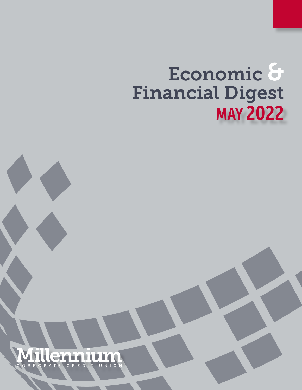# Economic & Financial Digest MAY 2022

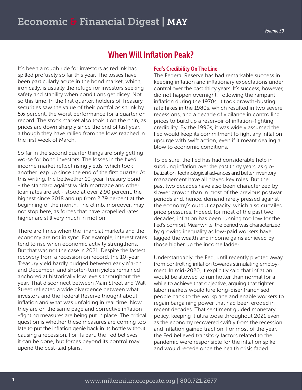## When Will Inflation Peak?

It's been a rough ride for investors as red ink has spilled profusely so far this year. The losses have been particularly acute in the bond market, which, ironically, is usually the refuge for investors seeking safety and stability when conditions get dicey. Not so this time. In the first quarter, holders of Treasury securities saw the value of their portfolios shrink by 5.6 percent, the worst performance for a quarter on record. The stock market also took it on the chin, as prices are down sharply since the end of last year, although they have rallied from the lows reached in the first week of March.

So far in the second quarter things are only getting worse for bond investors. The losses in the fixed income market reflect rising yields, which took another leap up since the end of the first quarter. At this writing, the bellwether 10-year Treasury bond - the standard against which mortgage and other loan rates are set - stood at over 2.90 percent, the highest since 2018 and up from 2.39 percent at the beginning of the month. The climb, moreover, may not stop here, as forces that have propelled rates higher are still very much in motion.

There are times when the financial markets and the economy are not in sync. For example, interest rates tend to rise when economic activity strengthens. But that was not the case in 2021. Despite the fastest recovery from a recession on record, the 10-year Treasury yield hardly budged between early March and December, and shorter-term yields remained anchored at historically low levels throughout the year. That disconnect between Main Street and Wall Street reflected a wide divergence between what investors and the Federal Reserve thought about inflation and what was unfolding in real time. Now they are on the same page and corrective inflation -fighting measures are being put in place. The critical question is whether these measures are coming too late to put the inflation genie back in its bottle without causing a recession. For its part, the Fed believes it can be done, but forces beyond its control may upend the best-laid plans.

#### Fed's Credibility On The Line

The Federal Reserve has had remarkable success in keeping inflation and inflationary expectations under control over the past thirty years. It's success, however, did not happen overnight. Following the rampant inflation during the 1970s, it took growth-busting rate hikes in the 1980s, which resulted in two severe recessions, and a decade of vigilance in controlling prices to build up a reservoir of inflation-fighting credibility. By the 1990s, it was widely assumed the Fed would keep its commitment to fight any inflation upsurge with swift action, even if it meant dealing a blow to economic conditions.

To be sure, the Fed has had considerable help in subduing inflation over the past thirty years, as globalization, technological advances and better inventory management have all played key roles. But the past two decades have also been characterized by slower growth than in most of the previous postwar periods and, hence, demand rarely pressed against the economy's output capacity, which also curtailed price pressures. Indeed, for most of the past two decades, inflation has been running too low for the Fed's comfort. Meanwhile, the period was characterized by growing inequality as low-paid workers have lagged the wealth and income gains achieved by those higher up the income ladder.

Understandably, the Fed, until recently pivoted away from controlling inflation towards stimulating employment. In mid-2020, it explicitly said that inflation would be allowed to run hotter than normal for a while to achieve that objective, arguing that tighter labor markets would lure long-disenfranchised people back to the workplace and enable workers to regain bargaining power that had been eroded in recent decades. That sentiment guided monetary policy, keeping it ultra loose throughout 2021 even as the economy recovered swiftly from the recession and inflation gained traction. For most of the year, the Fed believed transitory factors related to the pandemic were responsible for the inflation spike, and would recede once the health crisis faded.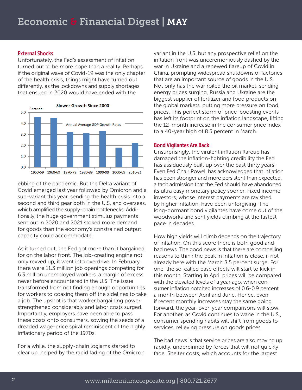#### External Shocks

Unfortunately, the Fed's assessment of inflation turned out to be more hope than a reality. Perhaps if the original wave of Covid-19 was the only chapter of the health crisis, things might have turned out differently, as the lockdowns and supply shortages that ensued in 2020 would have ended with the



ebbing of the pandemic. But the Delta variant of Covid emerged last year followed by Omicron and a sub-variant this year, sending the health crisis into a second and third gear both in the U.S. and overseas, which amplified the supply-chain bottlenecks. Additionally, the huge government stimulus payments sent out in 2020 and 2021 stoked more demand for goods than the economy's constrained output capacity could accommodate.

As it turned out, the Fed got more than it bargained for on the labor front. The job-creating engine not only revved up, it went into overdrive. In February, there were 11.3 million job openings competing for 6.3 million unemployed workers, a margin of excess never before encountered in the U.S. The issue transformed from not finding enough opportunities for workers to coaxing them off the sidelines to take a job. The upshot is that worker bargaining power strengthened considerably and labor costs surged. Importantly, employers have been able to pass these costs onto consumers, sowing the seeds of a dreaded wage-price spiral reminiscent of the highly inflationary period of the 1970s.

For a while, the supply-chain logjams started to clear up, helped by the rapid fading of the Omicron variant in the U.S. but any prospective relief on the inflation front was unceremoniously dashed by the war in Ukraine and a renewed flareup of Covid in China, prompting widespread shutdowns of factories that are an important source of goods in the U.S. Not only has the war roiled the oil market, sending energy prices surging, Russia and Ukraine are the biggest supplier of fertilizer and food products on the global markets, putting more pressure on food prices. This perfect storm of price-boosting events has left its footprint on the inflation landscape, lifting the 12-month increase in the consumer price index to a 40-year high of 8.5 percent in March.

#### Bond Vigilantes Are Back

Unsurprisingly, the virulent inflation flareup has damaged the inflation-fighting credibility the Fed has assiduously built up over the past thirty years. Even Fed Chair Powell has acknowledged that inflation has been stronger and more persistent than expected, a tacit admission that the Fed should have abandoned its ultra easy monetary policy sooner. Fixed income investors, whose interest payments are ravished by higher inflation, have been unforgiving. The long-dormant bond vigilantes have come out of the woodworks and sent yields climbing at the fastest pace in decades.

How high yields will climb depends on the trajectory of inflation. On this score there is both good and bad news. The good news is that there are compelling reasons to think the peak in inflation is close, if not already here with the March 8.5 percent surge. For one, the so-called base effects will start to kick in this month. Starting in April prices will be compared with the elevated levels of a year ago, when consumer inflation notched increases of 0.6-0.9 percent a month between April and June. Hence, even if recent monthly increases stay the same going forward, the year-over-year comparisons will slow. For another, as Covid continues to wane in the U.S., consumer spending habits will shift from goods to services, relieving pressure on goods prices.

The bad news is that service prices are also moving up rapidly, underpinned by forces that will not quickly fade. Shelter costs, which accounts for the largest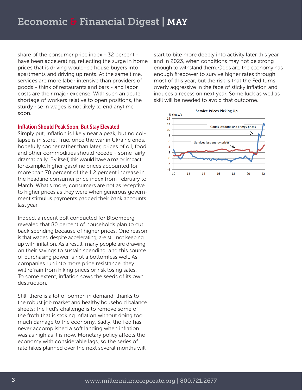share of the consumer price index - 32 percent have been accelerating, reflecting the surge in home prices that is driving would-be house buyers into apartments and driving up rents. At the same time, services are more labor intensive than providers of goods - think of restaurants and bars - and labor costs are their major expense. With such an acute shortage of workers relative to open positions, the sturdy rise in wages is not likely to end anytime soon.

#### Inflation Should Peak Soon, But Stay Elevated

Simply put, inflation is likely near a peak, but no collapse is in store. True, once the war in Ukraine ends, hopefully sooner rather than later, prices of oil, food and other commodities should recede - some fairly dramatically. By itself, this would have a major impact; for example, higher gasoline prices accounted for more than 70 percent of the 1.2 percent increase in the headline consumer price index from February to March. What's more, consumers are not as receptive to higher prices as they were when generous government stimulus payments padded their bank accounts last year.

Indeed, a recent poll conducted for Bloomberg revealed that 80 percent of households plan to cut back spending because of higher prices. One reason is that wages, despite accelerating, are still not keeping up with inflation. As a result, many people are drawing on their savings to sustain spending, and this source of purchasing power is not a bottomless well. As companies run into more price resistance, they will refrain from hiking prices or risk losing sales. To some extent, inflation sows the seeds of its own destruction.

Still, there is a lot of oomph in demand, thanks to the robust job market and healthy household balance sheets; the Fed's challenge is to remove some of the froth that is stoking inflation without doing too much damage to the economy. Sadly, the Fed has never accomplished a soft landing when inflation was as high as it is now. Monetary policy affects the economy with considerable lags, so the series of rate hikes planned over the next several months will

start to bite more deeply into activity later this year and in 2023, when conditions may not be strong enough to withstand them. Odds are, the economy has enough firepower to survive higher rates through most of this year, but the risk is that the Fed turns overly aggressive in the face of sticky inflation and induces a recession next year. Some luck as well as skill will be needed to avoid that outcome.